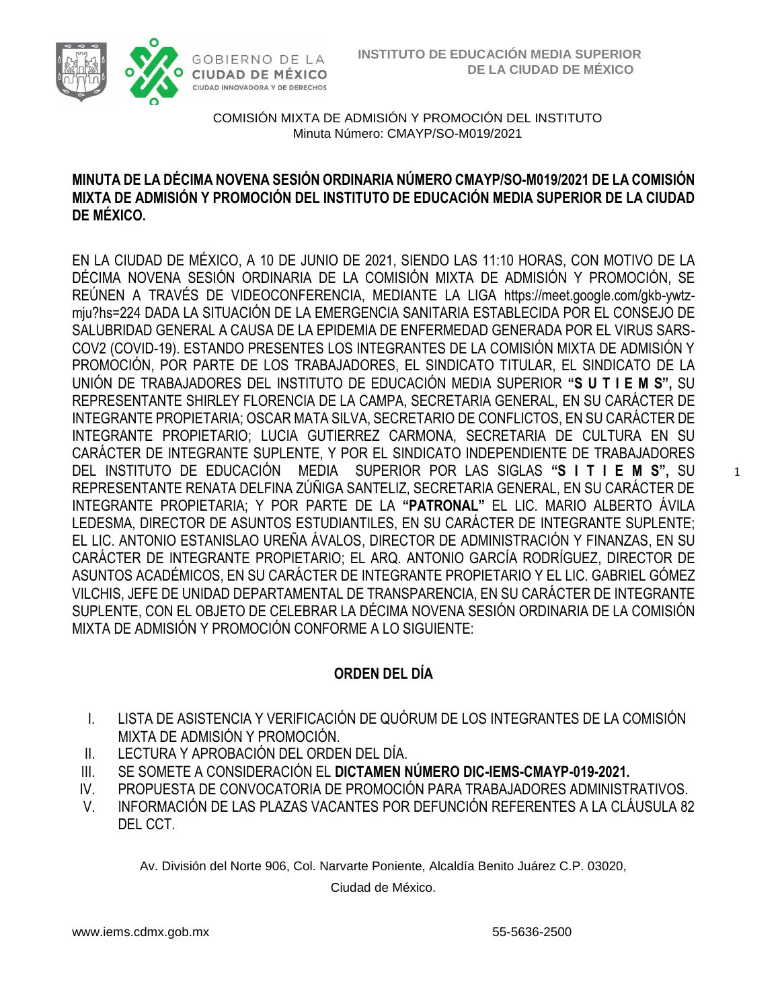

### **MINUTA DE LA DÉCIMA NOVENA SESIÓN ORDINARIA NÚMERO CMAYP/SO-M019/2021 DE LA COMISIÓN MIXTA DE ADMISIÓN Y PROMOCIÓN DEL INSTITUTO DE EDUCACIÓN MEDIA SUPERIOR DE LA CIUDAD DE MÉXICO.**

EN LA CIUDAD DE MÉXICO, A 10 DE JUNIO DE 2021, SIENDO LAS 11:10 HORAS, CON MOTIVO DE LA DÉCIMA NOVENA SESIÓN ORDINARIA DE LA COMISIÓN MIXTA DE ADMISIÓN Y PROMOCIÓN, SE REÚNEN A TRAVÉS DE VIDEOCONFERENCIA, MEDIANTE LA LIGA [https://meet.google.com/gkb-ywtz](https://meet.google.com/gkb-ywtz-mju?hs=224)[mju?hs=224](https://meet.google.com/gkb-ywtz-mju?hs=224) DADA LA SITUACIÓN DE LA EMERGENCIA SANITARIA ESTABLECIDA POR EL CONSEJO DE SALUBRIDAD GENERAL A CAUSA DE LA EPIDEMIA DE ENFERMEDAD GENERADA POR EL VIRUS SARS-COV2 (COVID-19). ESTANDO PRESENTES LOS INTEGRANTES DE LA COMISIÓN MIXTA DE ADMISIÓN Y PROMOCIÓN, POR PARTE DE LOS TRABAJADORES, EL SINDICATO TITULAR, EL SINDICATO DE LA UNIÓN DE TRABAJADORES DEL INSTITUTO DE EDUCACIÓN MEDIA SUPERIOR **"S U T I E M S",** SU REPRESENTANTE SHIRLEY FLORENCIA DE LA CAMPA, SECRETARIA GENERAL, EN SU CARÁCTER DE INTEGRANTE PROPIETARIA; OSCAR MATA SILVA, SECRETARIO DE CONFLICTOS, EN SU CARÁCTER DE INTEGRANTE PROPIETARIO; LUCIA GUTIERREZ CARMONA, SECRETARIA DE CULTURA EN SU CARÁCTER DE INTEGRANTE SUPLENTE, Y POR EL SINDICATO INDEPENDIENTE DE TRABAJADORES DEL INSTITUTO DE EDUCACIÓN MEDIA SUPERIOR POR LAS SIGLAS **"S I T I E M S",** SU REPRESENTANTE RENATA DELFINA ZÚÑIGA SANTELIZ, SECRETARIA GENERAL, EN SU CARÁCTER DE INTEGRANTE PROPIETARIA; Y POR PARTE DE LA **"PATRONAL"** EL LIC. MARIO ALBERTO ÁVILA LEDESMA, DIRECTOR DE ASUNTOS ESTUDIANTILES, EN SU CARÁCTER DE INTEGRANTE SUPLENTE; EL LIC. ANTONIO ESTANISLAO UREÑA ÁVALOS, DIRECTOR DE ADMINISTRACIÓN Y FINANZAS, EN SU CARÁCTER DE INTEGRANTE PROPIETARIO; EL ARQ. ANTONIO GARCÍA RODRÍGUEZ, DIRECTOR DE ASUNTOS ACADÉMICOS, EN SU CARÁCTER DE INTEGRANTE PROPIETARIO Y EL LIC. GABRIEL GÓMEZ VILCHIS, JEFE DE UNIDAD DEPARTAMENTAL DE TRANSPARENCIA, EN SU CARÁCTER DE INTEGRANTE SUPLENTE, CON EL OBJETO DE CELEBRAR LA DÉCIMA NOVENA SESIÓN ORDINARIA DE LA COMISIÓN MIXTA DE ADMISIÓN Y PROMOCIÓN CONFORME A LO SIGUIENTE:

## **ORDEN DEL DÍA**

- I. LISTA DE ASISTENCIA Y VERIFICACIÓN DE QUÓRUM DE LOS INTEGRANTES DE LA COMISIÓN MIXTA DE ADMISIÓN Y PROMOCIÓN.
- II. LECTURA Y APROBACIÓN DEL ORDEN DEL DÍA.
- III. SE SOMETE A CONSIDERACIÓN EL **DICTAMEN NÚMERO DIC-IEMS-CMAYP-019-2021.**
- IV. PROPUESTA DE CONVOCATORIA DE PROMOCIÓN PARA TRABAJADORES ADMINISTRATIVOS.
- V. INFORMACIÓN DE LAS PLAZAS VACANTES POR DEFUNCIÓN REFERENTES A LA CLÁUSULA 82 DEL CCT.

Av. División del Norte 906, Col. Narvarte Poniente, Alcaldía Benito Juárez C.P. 03020,

Ciudad de México.

1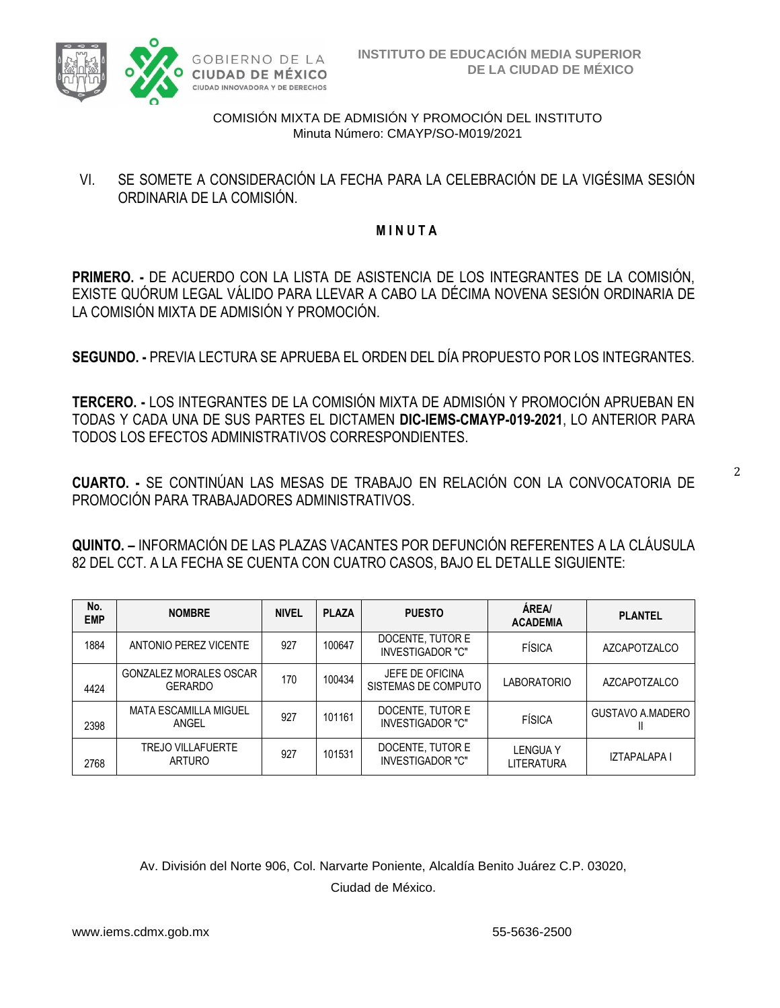

VI. SE SOMETE A CONSIDERACIÓN LA FECHA PARA LA CELEBRACIÓN DE LA VIGÉSIMA SESIÓN ORDINARIA DE LA COMISIÓN.

### **M I N U T A**

**PRIMERO. -** DE ACUERDO CON LA LISTA DE ASISTENCIA DE LOS INTEGRANTES DE LA COMISIÓN, EXISTE QUÓRUM LEGAL VÁLIDO PARA LLEVAR A CABO LA DÉCIMA NOVENA SESIÓN ORDINARIA DE LA COMISIÓN MIXTA DE ADMISIÓN Y PROMOCIÓN.

**SEGUNDO. -** PREVIA LECTURA SE APRUEBA EL ORDEN DEL DÍA PROPUESTO POR LOS INTEGRANTES.

**TERCERO. -** LOS INTEGRANTES DE LA COMISIÓN MIXTA DE ADMISIÓN Y PROMOCIÓN APRUEBAN EN TODAS Y CADA UNA DE SUS PARTES EL DICTAMEN **DIC-IEMS-CMAYP-019-2021**, LO ANTERIOR PARA TODOS LOS EFECTOS ADMINISTRATIVOS CORRESPONDIENTES.

**CUARTO. -** SE CONTINÚAN LAS MESAS DE TRABAJO EN RELACIÓN CON LA CONVOCATORIA DE PROMOCIÓN PARA TRABAJADORES ADMINISTRATIVOS.

**QUINTO. –** INFORMACIÓN DE LAS PLAZAS VACANTES POR DEFUNCIÓN REFERENTES A LA CLÁUSULA 82 DEL CCT. A LA FECHA SE CUENTA CON CUATRO CASOS, BAJO EL DETALLE SIGUIENTE:

| No.<br><b>EMP</b> | <b>NOMBRE</b>                                   | <b>NIVEL</b> | <b>PLAZA</b> | <b>PUESTO</b>                               | ÁREA/<br><b>ACADEMIA</b>     | <b>PLANTEL</b>          |
|-------------------|-------------------------------------------------|--------------|--------------|---------------------------------------------|------------------------------|-------------------------|
| 1884              | ANTONIO PEREZ VICENTE                           | 927          | 100647       | DOCENTE, TUTOR E<br><b>INVESTIGADOR "C"</b> | <b>FÍSICA</b>                | <b>AZCAPOTZALCO</b>     |
| 4424              | <b>GONZALEZ MORALES OSCAR</b><br><b>GERARDO</b> | 170          | 100434       | JEFE DE OFICINA<br>SISTEMAS DE COMPUTO      | <b>LABORATORIO</b>           | <b>AZCAPOTZALCO</b>     |
| 2398              | MATA ESCAMILLA MIGUEL<br>ANGEL                  | 927          | 101161       | DOCENTE, TUTOR E<br><b>INVESTIGADOR "C"</b> | <b>FÍSICA</b>                | <b>GUSTAVO A.MADERO</b> |
| 2768              | <b>TREJO VILLAFUERTE</b><br><b>ARTURO</b>       | 927          | 101531       | DOCENTE, TUTOR E<br>INVESTIGADOR "C"        | <b>LENGUAY</b><br>LITERATURA | IZTAPALAPA I            |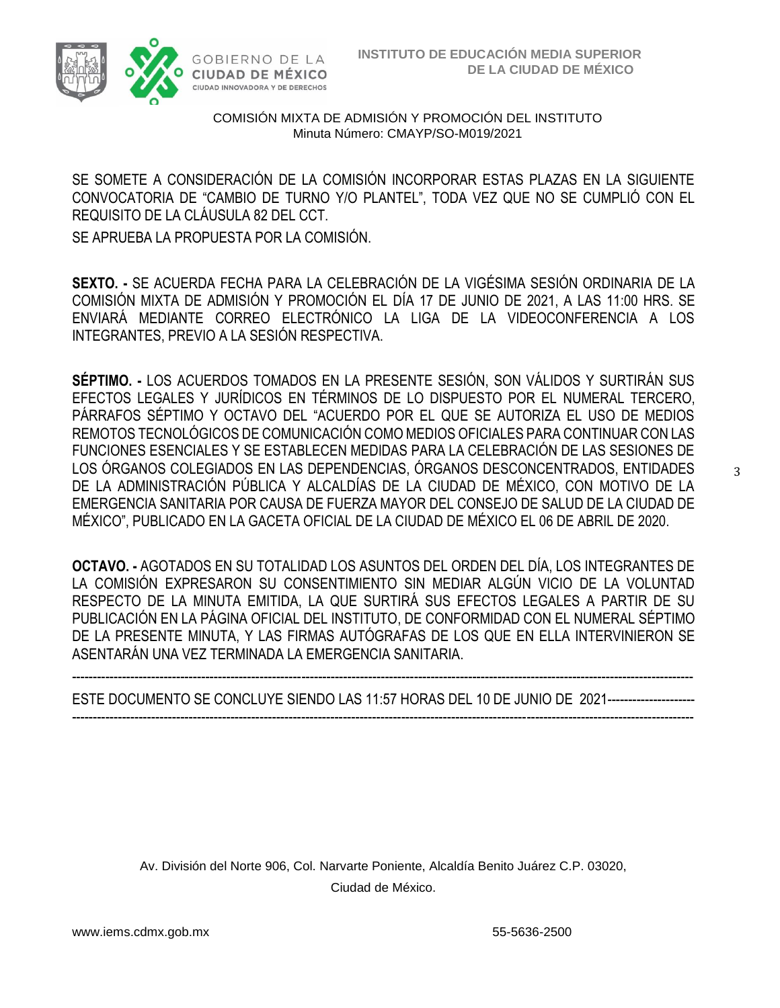

SE SOMETE A CONSIDERACIÓN DE LA COMISIÓN INCORPORAR ESTAS PLAZAS EN LA SIGUIENTE CONVOCATORIA DE "CAMBIO DE TURNO Y/O PLANTEL", TODA VEZ QUE NO SE CUMPLIÓ CON EL REQUISITO DE LA CLÁUSULA 82 DEL CCT.

SE APRUEBA LA PROPUESTA POR LA COMISIÓN.

**SEXTO. -** SE ACUERDA FECHA PARA LA CELEBRACIÓN DE LA VIGÉSIMA SESIÓN ORDINARIA DE LA COMISIÓN MIXTA DE ADMISIÓN Y PROMOCIÓN EL DÍA 17 DE JUNIO DE 2021, A LAS 11:00 HRS. SE ENVIARÁ MEDIANTE CORREO ELECTRÓNICO LA LIGA DE LA VIDEOCONFERENCIA A LOS INTEGRANTES, PREVIO A LA SESIÓN RESPECTIVA.

**SÉPTIMO. -** LOS ACUERDOS TOMADOS EN LA PRESENTE SESIÓN, SON VÁLIDOS Y SURTIRÁN SUS EFECTOS LEGALES Y JURÍDICOS EN TÉRMINOS DE LO DISPUESTO POR EL NUMERAL TERCERO, PÁRRAFOS SÉPTIMO Y OCTAVO DEL "ACUERDO POR EL QUE SE AUTORIZA EL USO DE MEDIOS REMOTOS TECNOLÓGICOS DE COMUNICACIÓN COMO MEDIOS OFICIALES PARA CONTINUAR CON LAS FUNCIONES ESENCIALES Y SE ESTABLECEN MEDIDAS PARA LA CELEBRACIÓN DE LAS SESIONES DE LOS ÓRGANOS COLEGIADOS EN LAS DEPENDENCIAS, ÓRGANOS DESCONCENTRADOS, ENTIDADES DE LA ADMINISTRACIÓN PÚBLICA Y ALCALDÍAS DE LA CIUDAD DE MÉXICO, CON MOTIVO DE LA EMERGENCIA SANITARIA POR CAUSA DE FUERZA MAYOR DEL CONSEJO DE SALUD DE LA CIUDAD DE MÉXICO", PUBLICADO EN LA GACETA OFICIAL DE LA CIUDAD DE MÉXICO EL 06 DE ABRIL DE 2020.

**OCTAVO. -** AGOTADOS EN SU TOTALIDAD LOS ASUNTOS DEL ORDEN DEL DÍA, LOS INTEGRANTES DE LA COMISIÓN EXPRESARON SU CONSENTIMIENTO SIN MEDIAR ALGÚN VICIO DE LA VOLUNTAD RESPECTO DE LA MINUTA EMITIDA, LA QUE SURTIRÁ SUS EFECTOS LEGALES A PARTIR DE SU PUBLICACIÓN EN LA PÁGINA OFICIAL DEL INSTITUTO, DE CONFORMIDAD CON EL NUMERAL SÉPTIMO DE LA PRESENTE MINUTA, Y LAS FIRMAS AUTÓGRAFAS DE LOS QUE EN ELLA INTERVINIERON SE ASENTARÁN UNA VEZ TERMINADA LA EMERGENCIA SANITARIA.

----------------------------------------------------------------------------------------------------------------------------------------------------- ESTE DOCUMENTO SE CONCLUYE SIENDO LAS 11:57 HORAS DEL 10 DE JUNIO DE 2021--------------------- -----------------------------------------------------------------------------------------------------------------------------------------------------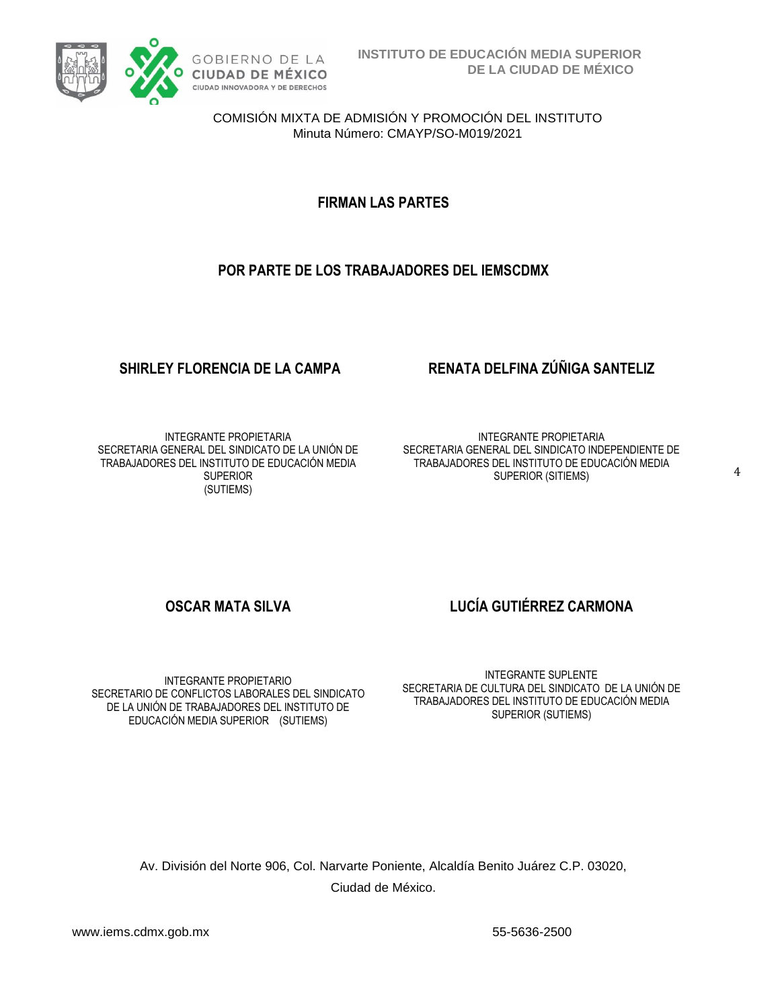

**FIRMAN LAS PARTES**

### **POR PARTE DE LOS TRABAJADORES DEL IEMSCDMX**

INTEGRANTE PROPIETARIA SECRETARIA GENERAL DEL SINDICATO DE LA UNIÓN DE TRABAJADORES DEL INSTITUTO DE EDUCACIÓN MEDIA **SUPERIOR** (SUTIEMS)

## **SHIRLEY FLORENCIA DE LA CAMPA RENATA DELFINA ZÚÑIGA SANTELIZ**

INTEGRANTE PROPIETARIA SECRETARIA GENERAL DEL SINDICATO INDEPENDIENTE DE TRABAJADORES DEL INSTITUTO DE EDUCACIÓN MEDIA SUPERIOR (SITIEMS)

4

INTEGRANTE PROPIETARIO SECRETARIO DE CONFLICTOS LABORALES DEL SINDICATO DE LA UNIÓN DE TRABAJADORES DEL INSTITUTO DE EDUCACIÓN MEDIA SUPERIOR (SUTIEMS)

**OSCAR MATA SILVA LUCÍA GUTIÉRREZ CARMONA**

INTEGRANTE SUPLENTE SECRETARIA DE CULTURA DEL SINDICATO DE LA UNIÓN DE TRABAJADORES DEL INSTITUTO DE EDUCACIÓN MEDIA SUPERIOR (SUTIEMS)